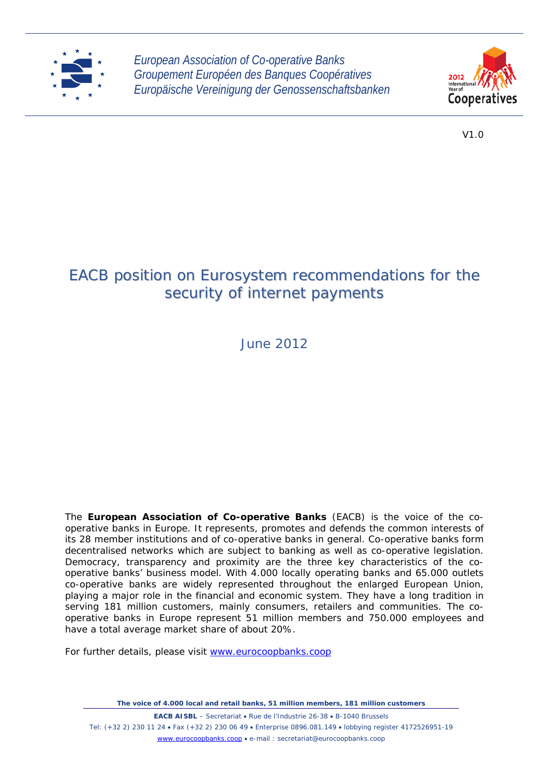

*European Association of Co-operative Banks Groupement Européen des Banques Coopératives Europäische Vereinigung der Genossenschaftsbanken*



V1.0

# EACB position on Eurosystem recommendations for the security of internet payments

June 2012

The **European Association of Co-operative Banks** (EACB) is the voice of the cooperative banks in Europe. It represents, promotes and defends the common interests of its 28 member institutions and of co-operative banks in general. Co-operative banks form decentralised networks which are subject to banking as well as co-operative legislation. Democracy, transparency and proximity are the three key characteristics of the cooperative banks' business model. With 4.000 locally operating banks and 65.000 outlets co-operative banks are widely represented throughout the enlarged European Union, playing a major role in the financial and economic system. They have a long tradition in serving 181 million customers, mainly consumers, retailers and communities. The cooperative banks in Europe represent 51 million members and 750.000 employees and have a total average market share of about 20%.

For further details, please visit www.eurocoopbanks.coop

*The voice of 4.000 local and retail banks, 51 million members, 181 million customers* 

**EACB AISBL** – Secretariat • Rue de l'Industrie 26-38 • B-1040 Brussels Tel: (+32 2) 230 11 24 Fax (+32 2) 230 06 49 Enterprise 0896.081.149 lobbying register 4172526951-19 www.eurocoopbanks.coop e-mail : secretariat@eurocoopbanks.coop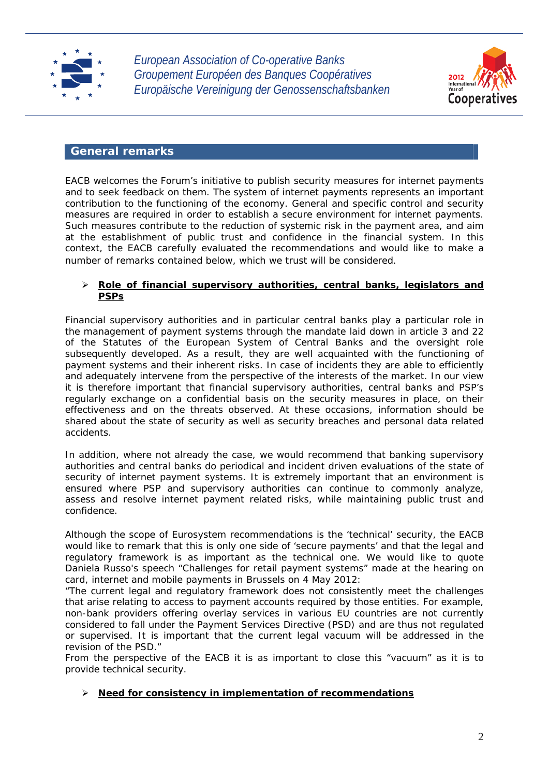

*European Association of Co-operative Banks Groupement Européen des Banques Coopératives Europäische Vereinigung der Genossenschaftsbanken*



## **General remarks**

EACB welcomes the Forum's initiative to publish security measures for internet payments and to seek feedback on them. The system of internet payments represents an important contribution to the functioning of the economy. General and specific control and security measures are required in order to establish a secure environment for internet payments. Such measures contribute to the reduction of systemic risk in the payment area, and aim at the establishment of public trust and confidence in the financial system. In this context, the EACB carefully evaluated the recommendations and would like to make a number of remarks contained below, which we trust will be considered.

## **Role of financial supervisory authorities, central banks, legislators and PSPs**

Financial supervisory authorities and in particular central banks play a particular role in the management of payment systems through the mandate laid down in article 3 and 22 of the Statutes of the European System of Central Banks and the oversight role subsequently developed. As a result, they are well acquainted with the functioning of payment systems and their inherent risks. In case of incidents they are able to efficiently and adequately intervene from the perspective of the interests of the market. In our view it is therefore important that financial supervisory authorities, central banks and PSP's regularly exchange on a confidential basis on the security measures in place, on their effectiveness and on the threats observed. At these occasions, information should be shared about the state of security as well as security breaches and personal data related accidents.

In addition, where not already the case, we would recommend that banking supervisory authorities and central banks do periodical and incident driven evaluations of the state of security of internet payment systems. It is extremely important that an environment is ensured where PSP and supervisory authorities can continue to commonly analyze, assess and resolve internet payment related risks, while maintaining public trust and confidence.

Although the scope of Eurosystem recommendations is the 'technical' security, the EACB would like to remark that this is only one side of 'secure payments' and that the legal and regulatory framework is as important as the technical one. We would like to quote Daniela Russo's speech "Challenges for retail payment systems" made at the hearing on card, internet and mobile payments in Brussels on 4 May 2012:

"The current legal and regulatory framework does not consistently meet the challenges that arise relating to access to payment accounts required by those entities. For example, non-bank providers offering overlay services in various EU countries are not currently considered to fall under the Payment Services Directive (PSD) and are thus not regulated or supervised. It is important that the current legal vacuum will be addressed in the revision of the PSD."

From the perspective of the EACB it is as important to close this "vacuum" as it is to provide technical security.

## **Need for consistency in implementation of recommendations**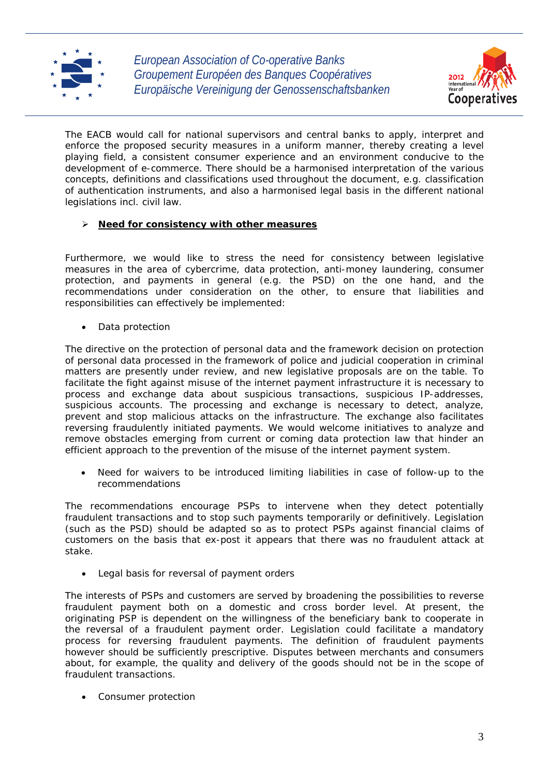



The EACB would call for national supervisors and central banks to apply, interpret and enforce the proposed security measures in a uniform manner, thereby creating a level playing field, a consistent consumer experience and an environment conducive to the development of e-commerce. There should be a harmonised interpretation of the various concepts, definitions and classifications used throughout the document, e.g. classification of authentication instruments, and also a harmonised legal basis in the different national legislations incl. civil law.

## **Need for consistency with other measures**

Furthermore, we would like to stress the need for consistency between legislative measures in the area of cybercrime, data protection, anti-money laundering, consumer protection, and payments in general (e.g. the PSD) on the one hand, and the recommendations under consideration on the other, to ensure that liabilities and responsibilities can effectively be implemented:

Data protection

The directive on the protection of personal data and the framework decision on protection of personal data processed in the framework of police and judicial cooperation in criminal matters are presently under review, and new legislative proposals are on the table. To facilitate the fight against misuse of the internet payment infrastructure it is necessary to process and exchange data about suspicious transactions, suspicious IP-addresses, suspicious accounts. The processing and exchange is necessary to detect, analyze, prevent and stop malicious attacks on the infrastructure. The exchange also facilitates reversing fraudulently initiated payments. We would welcome initiatives to analyze and remove obstacles emerging from current or coming data protection law that hinder an efficient approach to the prevention of the misuse of the internet payment system.

 Need for waivers to be introduced limiting liabilities in case of follow-up to the recommendations

The recommendations encourage PSPs to intervene when they detect potentially fraudulent transactions and to stop such payments temporarily or definitively. Legislation (such as the PSD) should be adapted so as to protect PSPs against financial claims of customers on the basis that ex-post it appears that there was no fraudulent attack at stake.

Legal basis for reversal of payment orders

The interests of PSPs and customers are served by broadening the possibilities to reverse fraudulent payment both on a domestic and cross border level. At present, the originating PSP is dependent on the willingness of the beneficiary bank to cooperate in the reversal of a fraudulent payment order. Legislation could facilitate a mandatory process for reversing fraudulent payments. The definition of fraudulent payments however should be sufficiently prescriptive. Disputes between merchants and consumers about, for example, the quality and delivery of the goods should not be in the scope of fraudulent transactions.

Consumer protection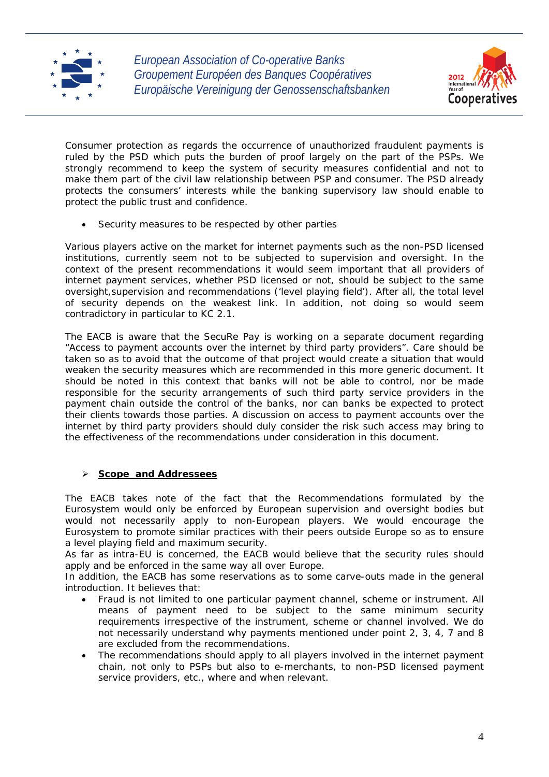



Consumer protection as regards the occurrence of unauthorized fraudulent payments is ruled by the PSD which puts the burden of proof largely on the part of the PSPs. We strongly recommend to keep the system of security measures confidential and not to make them part of the civil law relationship between PSP and consumer. The PSD already protects the consumers' interests while the banking supervisory law should enable to protect the public trust and confidence.

Security measures to be respected by other parties

Various players active on the market for internet payments such as the non-PSD licensed institutions, currently seem not to be subjected to supervision and oversight. In the context of the present recommendations it would seem important that all providers of internet payment services, whether PSD licensed or not, should be subject to the same oversight,supervision and recommendations ('level playing field'). After all, the total level of security depends on the weakest link. In addition, not doing so would seem contradictory in particular to KC 2.1.

The EACB is aware that the SecuRe Pay is working on a separate document regarding "Access to payment accounts over the internet by third party providers". Care should be taken so as to avoid that the outcome of that project would create a situation that would weaken the security measures which are recommended in this more generic document. It should be noted in this context that banks will not be able to control, nor be made responsible for the security arrangements of such third party service providers in the payment chain outside the control of the banks, nor can banks be expected to protect their clients towards those parties. A discussion on access to payment accounts over the internet by third party providers should duly consider the risk such access may bring to the effectiveness of the recommendations under consideration in this document.

## **Scope and Addressees**

The EACB takes note of the fact that the Recommendations formulated by the Eurosystem would only be enforced by European supervision and oversight bodies but would not necessarily apply to non-European players. We would encourage the Eurosystem to promote similar practices with their peers outside Europe so as to ensure a level playing field and maximum security.

As far as intra-EU is concerned, the EACB would believe that the security rules should apply and be enforced in the same way all over Europe.

In addition, the EACB has some reservations as to some carve-outs made in the general introduction. It believes that:

- Fraud is not limited to one particular payment channel, scheme or instrument. All means of payment need to be subject to the same minimum security requirements irrespective of the instrument, scheme or channel involved. We do not necessarily understand why payments mentioned under point 2, 3, 4, 7 and 8 are excluded from the recommendations.
- The recommendations should apply to all players involved in the internet payment chain, not only to PSPs but also to e-merchants, to non-PSD licensed payment service providers, etc., where and when relevant.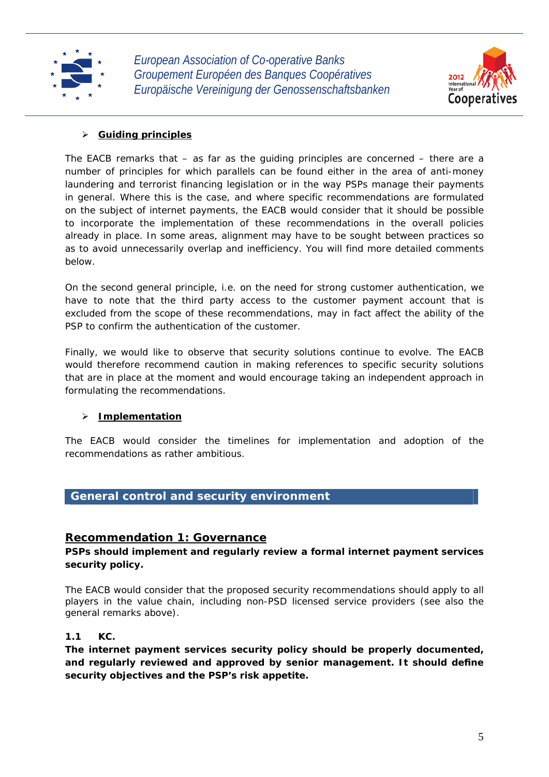



## **Guiding principles**

The EACB remarks that – as far as the guiding principles are concerned – there are a number of principles for which parallels can be found either in the area of anti-money laundering and terrorist financing legislation or in the way PSPs manage their payments in general. Where this is the case, and where specific recommendations are formulated on the subject of internet payments, the EACB would consider that it should be possible to incorporate the implementation of these recommendations in the overall policies already in place. In some areas, alignment may have to be sought between practices so as to avoid unnecessarily overlap and inefficiency. You will find more detailed comments below.

On the second general principle, i.e. on the need for strong customer authentication, we have to note that the third party access to the customer payment account that is excluded from the scope of these recommendations, may in fact affect the ability of the PSP to confirm the authentication of the customer.

Finally, we would like to observe that security solutions continue to evolve. The EACB would therefore recommend caution in making references to specific security solutions that are in place at the moment and would encourage taking an independent approach in formulating the recommendations.

## **Implementation**

The EACB would consider the timelines for implementation and adoption of the recommendations as rather ambitious.

## **General control and security environment**

## **Recommendation 1: Governance**

**PSPs should implement and regularly review a formal internet payment services security policy.** 

The EACB would consider that the proposed security recommendations should apply to all players in the value chain, including non-PSD licensed service providers (see also the general remarks above).

## **1.1 KC.**

**The internet payment services security policy should be properly documented, and regularly reviewed and approved by senior management. It should define security objectives and the PSP's risk appetite.**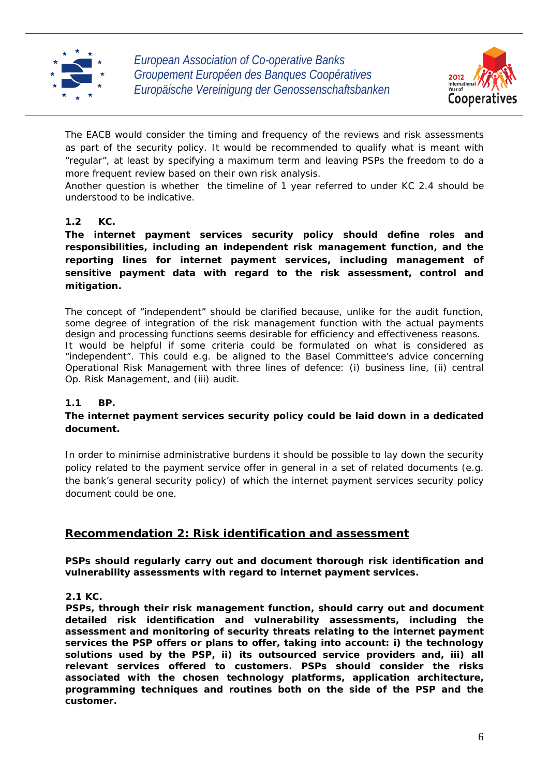



The EACB would consider the timing and frequency of the reviews and risk assessments as part of the security policy. It would be recommended to qualify what is meant with "regular", at least by specifying a maximum term and leaving PSPs the freedom to do a more frequent review based on their own risk analysis.

Another question is whether the timeline of 1 year referred to under KC 2.4 should be understood to be indicative.

## **1.2 KC.**

**The internet payment services security policy should define roles and responsibilities, including an independent risk management function, and the reporting lines for internet payment services, including management of sensitive payment data with regard to the risk assessment, control and mitigation.** 

The concept of "independent" should be clarified because, unlike for the audit function, some degree of integration of the risk management function with the actual payments design and processing functions seems desirable for efficiency and effectiveness reasons. It would be helpful if some criteria could be formulated on what is considered as "independent". This could e.g. be aligned to the Basel Committee's advice concerning Operational Risk Management with three lines of defence: (i) business line, (ii) central Op. Risk Management, and (iii) audit.

## **1.1 BP.**

## **The internet payment services security policy could be laid down in a dedicated document.**

In order to minimise administrative burdens it should be possible to lay down the security policy related to the payment service offer in general in a set of related documents (e.g. the bank's general security policy) of which the internet payment services security policy document could be one.

## **Recommendation 2: Risk identification and assessment**

**PSPs should regularly carry out and document thorough risk identification and vulnerability assessments with regard to internet payment services.** 

**2.1 KC.** 

**PSPs, through their risk management function, should carry out and document detailed risk identification and vulnerability assessments, including the assessment and monitoring of security threats relating to the internet payment services the PSP offers or plans to offer, taking into account: i) the technology solutions used by the PSP, ii) its outsourced service providers and, iii) all relevant services offered to customers. PSPs should consider the risks associated with the chosen technology platforms, application architecture, programming techniques and routines both on the side of the PSP and the customer.**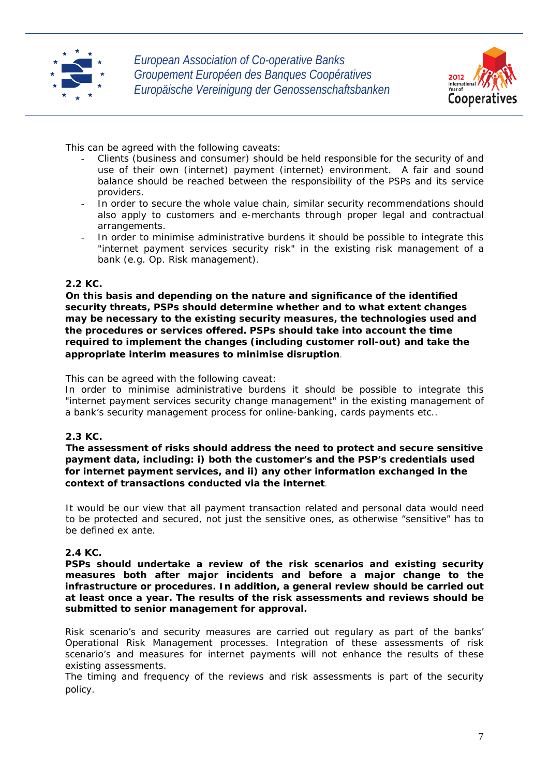



This can be agreed with the following caveats:

- Clients (business and consumer) should be held responsible for the security of and use of their own (internet) payment (internet) environment. A fair and sound balance should be reached between the responsibility of the PSPs and its service providers.
- In order to secure the whole value chain, similar security recommendations should also apply to customers and e-merchants through proper legal and contractual arrangements.
- In order to minimise administrative burdens it should be possible to integrate this "internet payment services security risk" in the existing risk management of a bank (e.g. Op. Risk management).

## **2.2 KC.**

**On this basis and depending on the nature and significance of the identified security threats, PSPs should determine whether and to what extent changes may be necessary to the existing security measures, the technologies used and the procedures or services offered. PSPs should take into account the time required to implement the changes (including customer roll-out) and take the appropriate interim measures to minimise disruption***.*

This can be agreed with the following caveat:

In order to minimise administrative burdens it should be possible to integrate this "internet payment services security change management" in the existing management of a bank's security management process for online-banking, cards payments etc..

## **2.3 KC.**

**The assessment of risks should address the need to protect and secure sensitive payment data, including: i) both the customer's and the PSP's credentials used for internet payment services, and ii) any other information exchanged in the context of transactions conducted via the internet***.* 

It would be our view that all payment transaction related and personal data would need to be protected and secured, not just the sensitive ones, as otherwise "sensitive" has to be defined ex ante.

## **2.4 KC.**

**PSPs should undertake a review of the risk scenarios and existing security measures both after major incidents and before a major change to the infrastructure or procedures. In addition, a general review should be carried out at least once a year. The results of the risk assessments and reviews should be submitted to senior management for approval.** 

Risk scenario's and security measures are carried out regulary as part of the banks' Operational Risk Management processes. Integration of these assessments of risk scenario's and measures for internet payments will not enhance the results of these existing assessments.

The timing and frequency of the reviews and risk assessments is part of the security policy.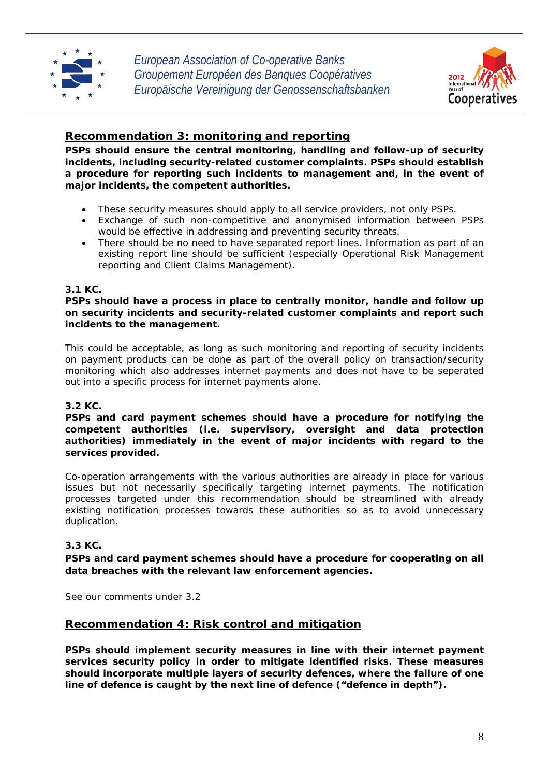



## **Recommendation 3: monitoring and reporting**

**PSPs should ensure the central monitoring, handling and follow-up of security incidents, including security-related customer complaints. PSPs should establish a procedure for reporting such incidents to management and, in the event of major incidents, the competent authorities.** 

- These security measures should apply to all service providers, not only PSPs.
- Exchange of such non-competitive and anonymised information between PSPs would be effective in addressing and preventing security threats.
- There should be no need to have separated report lines. Information as part of an existing report line should be sufficient (especially Operational Risk Management reporting and Client Claims Management).

## **3.1 KC.**

**PSPs should have a process in place to centrally monitor, handle and follow up on security incidents and security-related customer complaints and report such incidents to the management.** 

This could be acceptable, as long as such monitoring and reporting of security incidents on payment products can be done as part of the overall policy on transaction/security monitoring which also addresses internet payments and does not have to be seperated out into a specific process for internet payments alone.

## **3.2 KC.**

**PSPs and card payment schemes should have a procedure for notifying the competent authorities (i.e. supervisory, oversight and data protection authorities) immediately in the event of major incidents with regard to the services provided.** 

Co-operation arrangements with the various authorities are already in place for various issues but not necessarily specifically targeting internet payments. The notification processes targeted under this recommendation should be streamlined with already existing notification processes towards these authorities so as to avoid unnecessary duplication.

## **3.3 KC.**

**PSPs and card payment schemes should have a procedure for cooperating on all data breaches with the relevant law enforcement agencies.** 

See our comments under 3.2

## **Recommendation 4: Risk control and mitigation**

**PSPs should implement security measures in line with their internet payment services security policy in order to mitigate identified risks. These measures should incorporate multiple layers of security defences, where the failure of one line of defence is caught by the next line of defence ("defence in depth").**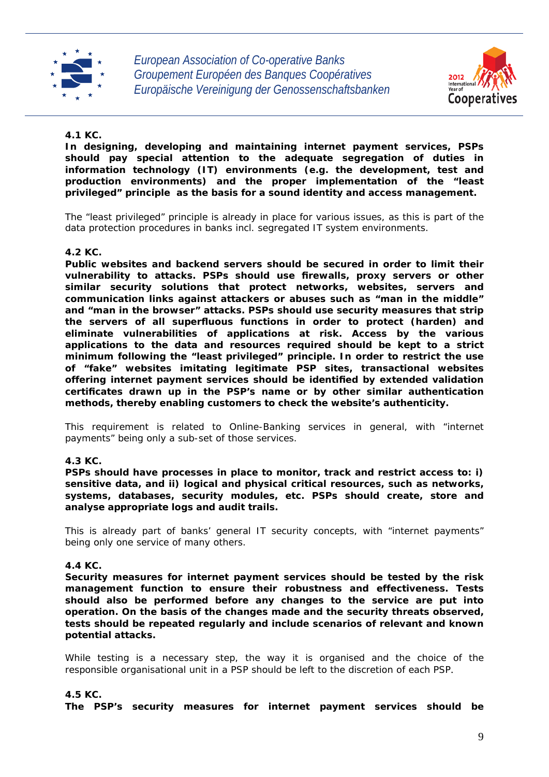



## **4.1 KC.**

**In designing, developing and maintaining internet payment services, PSPs should pay special attention to the adequate segregation of duties in information technology (IT) environments (e.g. the development, test and production environments) and the proper implementation of the "least privileged" principle as the basis for a sound identity and access management.** 

The "least privileged" principle is already in place for various issues, as this is part of the data protection procedures in banks incl. segregated IT system environments.

## **4.2 KC.**

**Public websites and backend servers should be secured in order to limit their vulnerability to attacks. PSPs should use firewalls, proxy servers or other similar security solutions that protect networks, websites, servers and communication links against attackers or abuses such as "man in the middle" and "man in the browser" attacks. PSPs should use security measures that strip the servers of all superfluous functions in order to protect (harden) and eliminate vulnerabilities of applications at risk. Access by the various applications to the data and resources required should be kept to a strict minimum following the "least privileged" principle. In order to restrict the use of "fake" websites imitating legitimate PSP sites, transactional websites offering internet payment services should be identified by extended validation certificates drawn up in the PSP's name or by other similar authentication methods, thereby enabling customers to check the website's authenticity.** 

This requirement is related to Online-Banking services in general, with "internet payments" being only a sub-set of those services.

## **4.3 KC.**

**PSPs should have processes in place to monitor, track and restrict access to: i) sensitive data, and ii) logical and physical critical resources, such as networks, systems, databases, security modules, etc. PSPs should create, store and analyse appropriate logs and audit trails.** 

This is already part of banks' general IT security concepts, with "internet payments" being only one service of many others.

## **4.4 KC.**

**Security measures for internet payment services should be tested by the risk management function to ensure their robustness and effectiveness. Tests should also be performed before any changes to the service are put into operation. On the basis of the changes made and the security threats observed, tests should be repeated regularly and include scenarios of relevant and known potential attacks.** 

While testing is a necessary step, the way it is organised and the choice of the responsible organisational unit in a PSP should be left to the discretion of each PSP.

## **4.5 KC.**

**The PSP's security measures for internet payment services should be**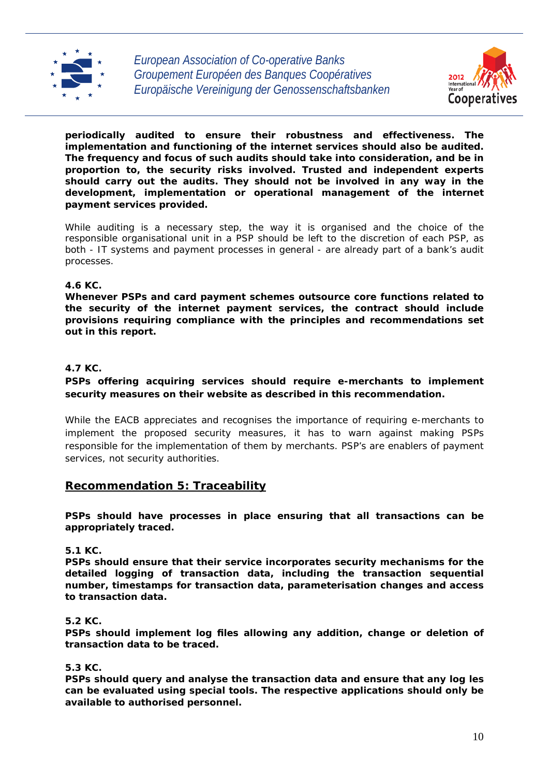



**periodically audited to ensure their robustness and effectiveness. The implementation and functioning of the internet services should also be audited. The frequency and focus of such audits should take into consideration, and be in proportion to, the security risks involved. Trusted and independent experts should carry out the audits. They should not be involved in any way in the development, implementation or operational management of the internet payment services provided.** 

While auditing is a necessary step, the way it is organised and the choice of the responsible organisational unit in a PSP should be left to the discretion of each PSP, as both - IT systems and payment processes in general - are already part of a bank's audit processes.

## **4.6 KC.**

**Whenever PSPs and card payment schemes outsource core functions related to the security of the internet payment services, the contract should include provisions requiring compliance with the principles and recommendations set out in this report.** 

## **4.7 KC.**

## **PSPs offering acquiring services should require e-merchants to implement security measures on their website as described in this recommendation.**

While the EACB appreciates and recognises the importance of requiring e-merchants to implement the proposed security measures, it has to warn against making PSPs responsible for the implementation of them by merchants. PSP's are enablers of payment services, not security authorities.

## **Recommendation 5: Traceability**

**PSPs should have processes in place ensuring that all transactions can be appropriately traced.** 

## **5.1 KC.**

**PSPs should ensure that their service incorporates security mechanisms for the detailed logging of transaction data, including the transaction sequential number, timestamps for transaction data, parameterisation changes and access to transaction data.** 

## **5.2 KC.**

**PSPs should implement log files allowing any addition, change or deletion of transaction data to be traced.** 

## **5.3 KC.**

**PSPs should query and analyse the transaction data and ensure that any log les can be evaluated using special tools. The respective applications should only be available to authorised personnel.**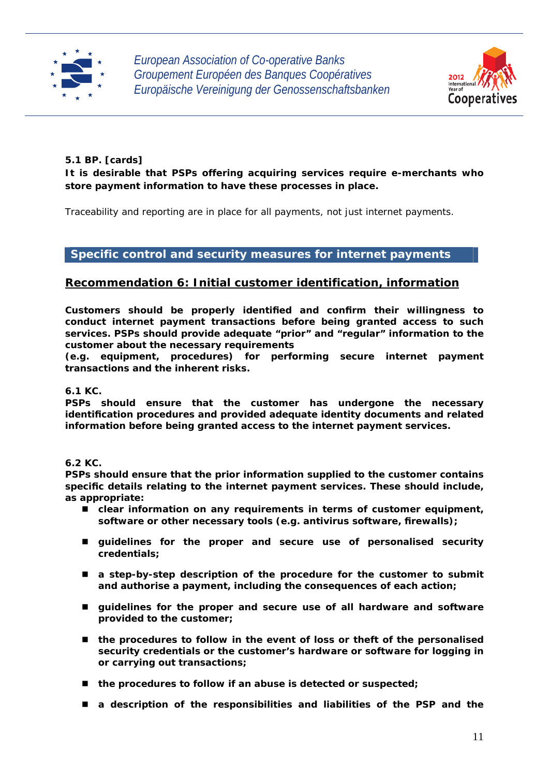



## **5.1 BP. [cards]**

## **It is desirable that PSPs offering acquiring services require e-merchants who store payment information to have these processes in place.**

Traceability and reporting are in place for all payments, not just internet payments.

## **Specific control and security measures for internet payments**

## **Recommendation 6: Initial customer identification, information**

**Customers should be properly identified and confirm their willingness to conduct internet payment transactions before being granted access to such services. PSPs should provide adequate "prior" and "regular" information to the customer about the necessary requirements** 

**(e.g. equipment, procedures) for performing secure internet payment transactions and the inherent risks.** 

## **6.1 KC.**

**PSPs should ensure that the customer has undergone the necessary identification procedures and provided adequate identity documents and related information before being granted access to the internet payment services.** 

## **6.2 KC.**

**PSPs should ensure that the prior information supplied to the customer contains specific details relating to the internet payment services. These should include, as appropriate:** 

- clear information on any requirements in terms of customer equipment, **software or other necessary tools (e.g. antivirus software, firewalls);**
- **guidelines for the proper and secure use of personalised security credentials;**
- **a step-by-step description of the procedure for the customer to submit and authorise a payment, including the consequences of each action;**
- **guidelines for the proper and secure use of all hardware and software provided to the customer;**
- **the procedures to follow in the event of loss or theft of the personalised security credentials or the customer's hardware or software for logging in or carrying out transactions;**
- the procedures to follow if an abuse is detected or suspected;
- **a description of the responsibilities and liabilities of the PSP and the**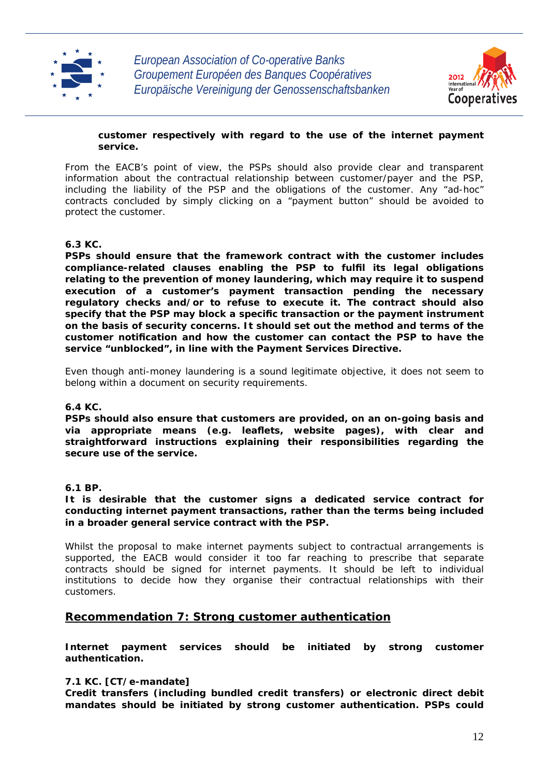



## **customer respectively with regard to the use of the internet payment service.**

From the EACB's point of view, the PSPs should also provide clear and transparent information about the contractual relationship between customer/payer and the PSP, including the liability of the PSP and the obligations of the customer. Any "ad-hoc" contracts concluded by simply clicking on a "payment button" should be avoided to protect the customer.

## **6.3 KC.**

**PSPs should ensure that the framework contract with the customer includes compliance-related clauses enabling the PSP to fulfil its legal obligations relating to the prevention of money laundering, which may require it to suspend execution of a customer's payment transaction pending the necessary regulatory checks and/or to refuse to execute it. The contract should also specify that the PSP may block a specific transaction or the payment instrument on the basis of security concerns. It should set out the method and terms of the customer notification and how the customer can contact the PSP to have the service "unblocked", in line with the Payment Services Directive.** 

Even though anti-money laundering is a sound legitimate objective, it does not seem to belong within a document on security requirements.

## **6.4 KC.**

**PSPs should also ensure that customers are provided, on an on-going basis and via appropriate means (e.g. leaflets, website pages), with clear and straightforward instructions explaining their responsibilities regarding the secure use of the service.** 

## **6.1 BP.**

## **It is desirable that the customer signs a dedicated service contract for conducting internet payment transactions, rather than the terms being included in a broader general service contract with the PSP.**

Whilst the proposal to make internet payments subject to contractual arrangements is supported, the EACB would consider it too far reaching to prescribe that separate contracts should be signed for internet payments. It should be left to individual institutions to decide how they organise their contractual relationships with their customers.

## **Recommendation 7: Strong customer authentication**

**Internet payment services should be initiated by strong customer authentication.** 

## **7.1 KC. [CT/e-mandate]**

**Credit transfers (including bundled credit transfers) or electronic direct debit mandates should be initiated by strong customer authentication. PSPs could**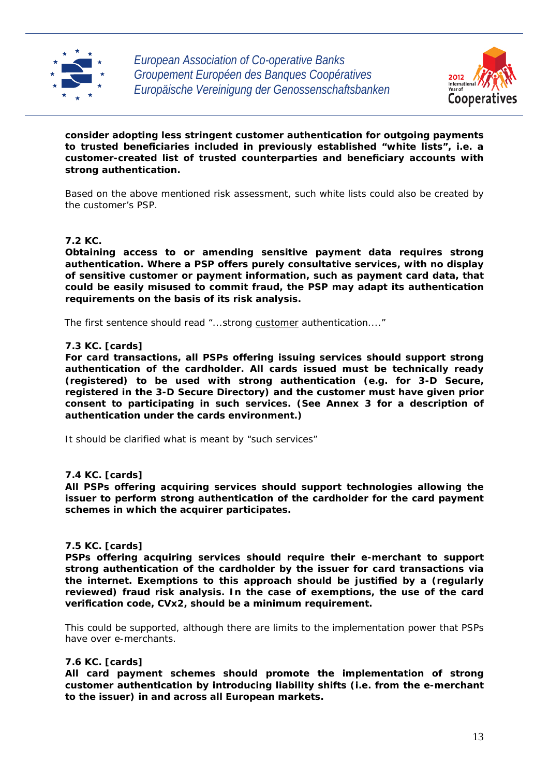



**consider adopting less stringent customer authentication for outgoing payments to trusted beneficiaries included in previously established "white lists", i.e. a customer-created list of trusted counterparties and beneficiary accounts with strong authentication.** 

Based on the above mentioned risk assessment, such white lists could also be created by the customer's PSP.

## **7.2 KC.**

**Obtaining access to or amending sensitive payment data requires strong authentication. Where a PSP offers purely consultative services, with no display of sensitive customer or payment information, such as payment card data, that could be easily misused to commit fraud, the PSP may adapt its authentication requirements on the basis of its risk analysis.** 

The first sentence should read "...strong *customer* authentication...."

#### **7.3 KC. [cards]**

**For card transactions, all PSPs offering issuing services should support strong authentication of the cardholder. All cards issued must be technically ready (registered) to be used with strong authentication (e.g. for 3-D Secure, registered in the 3-D Secure Directory) and the customer must have given prior consent to participating in such services. (See Annex 3 for a description of authentication under the cards environment.)** 

It should be clarified what is meant by "such services"

#### **7.4 KC. [cards]**

**All PSPs offering acquiring services should support technologies allowing the issuer to perform strong authentication of the cardholder for the card payment schemes in which the acquirer participates.** 

#### **7.5 KC. [cards]**

**PSPs offering acquiring services should require their e-merchant to support strong authentication of the cardholder by the issuer for card transactions via the internet. Exemptions to this approach should be justified by a (regularly reviewed) fraud risk analysis. In the case of exemptions, the use of the card verification code, CVx2, should be a minimum requirement.** 

This could be supported, although there are limits to the implementation power that PSPs have over e-merchants.

#### **7.6 KC. [cards]**

**All card payment schemes should promote the implementation of strong customer authentication by introducing liability shifts (i.e. from the e-merchant to the issuer) in and across all European markets.**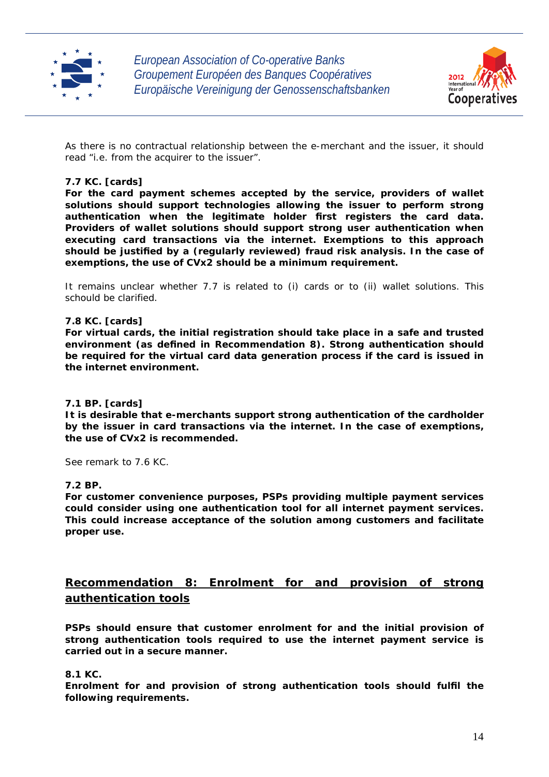



As there is no contractual relationship between the e-merchant and the issuer, it should read "i.e. from the acquirer to the issuer".

## **7.7 KC. [cards]**

**For the card payment schemes accepted by the service, providers of wallet solutions should support technologies allowing the issuer to perform strong authentication when the legitimate holder first registers the card data. Providers of wallet solutions should support strong user authentication when executing card transactions via the internet. Exemptions to this approach should be justified by a (regularly reviewed) fraud risk analysis. In the case of exemptions, the use of CVx2 should be a minimum requirement.** 

It remains unclear whether 7.7 is related to (i) cards or to (ii) wallet solutions. This schould be clarified.

## **7.8 KC. [cards]**

**For virtual cards, the initial registration should take place in a safe and trusted environment (as defined in Recommendation 8). Strong authentication should be required for the virtual card data generation process if the card is issued in the internet environment.** 

## **7.1 BP. [cards]**

**It is desirable that e-merchants support strong authentication of the cardholder by the issuer in card transactions via the internet. In the case of exemptions, the use of CVx2 is recommended.** 

See remark to 7.6 KC.

## **7.2 BP.**

**For customer convenience purposes, PSPs providing multiple payment services could consider using one authentication tool for all internet payment services. This could increase acceptance of the solution among customers and facilitate proper use.** 

## **Recommendation 8: Enrolment for and provision of strong authentication tools**

**PSPs should ensure that customer enrolment for and the initial provision of strong authentication tools required to use the internet payment service is carried out in a secure manner.** 

## **8.1 KC.**

**Enrolment for and provision of strong authentication tools should fulfil the following requirements.**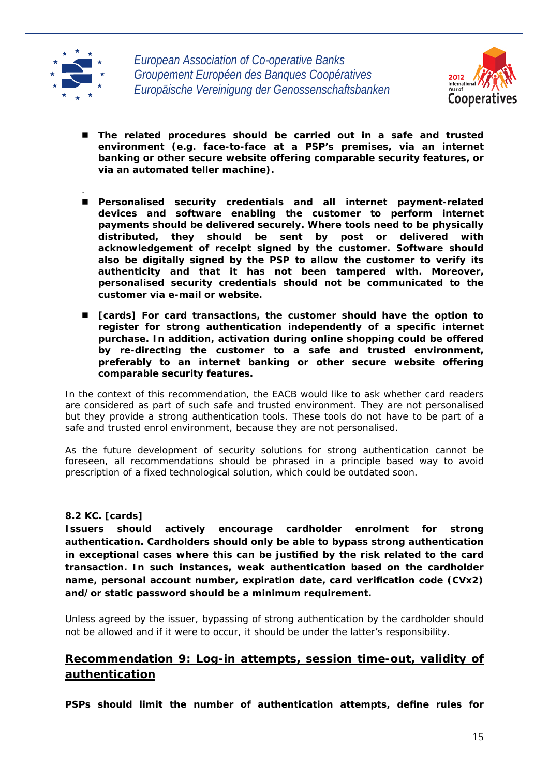



- **The related procedures should be carried out in a safe and trusted environment (e.g. face-to-face at a PSP's premises, via an internet banking or other secure website offering comparable security features, or via an automated teller machine).**
- . **Personalised security credentials and all internet payment-related devices and software enabling the customer to perform internet payments should be delivered securely. Where tools need to be physically distributed, they should be sent by post or delivered with acknowledgement of receipt signed by the customer. Software should also be digitally signed by the PSP to allow the customer to verify its authenticity and that it has not been tampered with. Moreover, personalised security credentials should not be communicated to the customer via e-mail or website.**
- **[cards] For card transactions, the customer should have the option to register for strong authentication independently of a specific internet purchase. In addition, activation during online shopping could be offered by re-directing the customer to a safe and trusted environment, preferably to an internet banking or other secure website offering comparable security features.**

In the context of this recommendation, the EACB would like to ask whether card readers are considered as part of such safe and trusted environment. They are not personalised but they provide a strong authentication tools. These tools do not have to be part of a safe and trusted enrol environment, because they are not personalised.

As the future development of security solutions for strong authentication cannot be foreseen, all recommendations should be phrased in a principle based way to avoid prescription of a fixed technological solution, which could be outdated soon.

## **8.2 KC. [cards]**

**Issuers should actively encourage cardholder enrolment for strong authentication. Cardholders should only be able to bypass strong authentication in exceptional cases where this can be justified by the risk related to the card transaction. In such instances, weak authentication based on the cardholder name, personal account number, expiration date, card verification code (CVx2) and/or static password should be a minimum requirement.** 

Unless agreed by the issuer, bypassing of strong authentication by the cardholder should not be allowed and if it were to occur, it should be under the latter's responsibility.

## **Recommendation 9: Log-in attempts, session time-out, validity of authentication**

**PSPs should limit the number of authentication attempts, define rules for**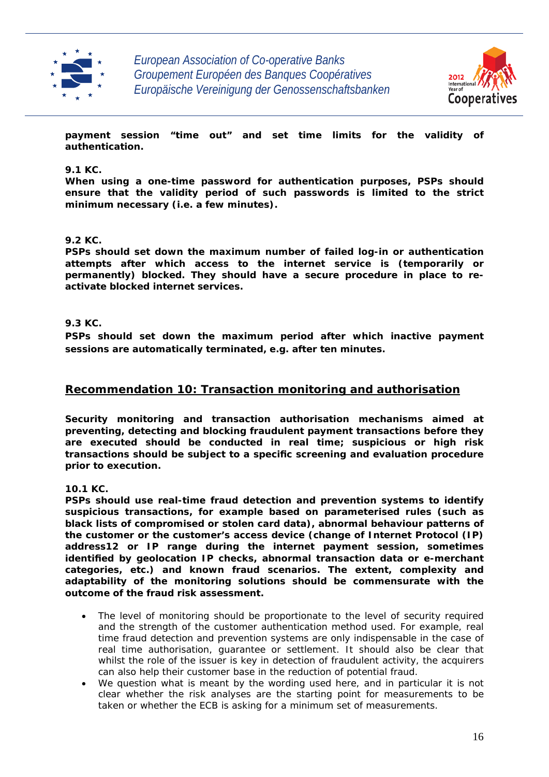



**payment session "time out" and set time limits for the validity of authentication.** 

## **9.1 KC.**

**When using a one-time password for authentication purposes, PSPs should ensure that the validity period of such passwords is limited to the strict minimum necessary (i.e. a few minutes).** 

## **9.2 KC.**

**PSPs should set down the maximum number of failed log-in or authentication attempts after which access to the internet service is (temporarily or permanently) blocked. They should have a secure procedure in place to reactivate blocked internet services.** 

## **9.3 KC.**

**PSPs should set down the maximum period after which inactive payment sessions are automatically terminated, e.g. after ten minutes.** 

## **Recommendation 10: Transaction monitoring and authorisation**

**Security monitoring and transaction authorisation mechanisms aimed at preventing, detecting and blocking fraudulent payment transactions before they are executed should be conducted in real time; suspicious or high risk transactions should be subject to a specific screening and evaluation procedure prior to execution.** 

**10.1 KC.** 

**PSPs should use real-time fraud detection and prevention systems to identify suspicious transactions, for example based on parameterised rules (such as black lists of compromised or stolen card data), abnormal behaviour patterns of the customer or the customer's access device (change of Internet Protocol (IP) address12 or IP range during the internet payment session, sometimes identified by geolocation IP checks, abnormal transaction data or e-merchant categories, etc.) and known fraud scenarios. The extent, complexity and adaptability of the monitoring solutions should be commensurate with the outcome of the fraud risk assessment.** 

- The level of monitoring should be proportionate to the level of security required and the strength of the customer authentication method used. For example, real time fraud detection and prevention systems are only indispensable in the case of real time authorisation, guarantee or settlement. It should also be clear that whilst the role of the issuer is key in detection of fraudulent activity, the acquirers can also help their customer base in the reduction of potential fraud.
- We question what is meant by the wording used here, and in particular it is not clear whether the risk analyses are the starting point for measurements to be taken or whether the ECB is asking for a minimum set of measurements.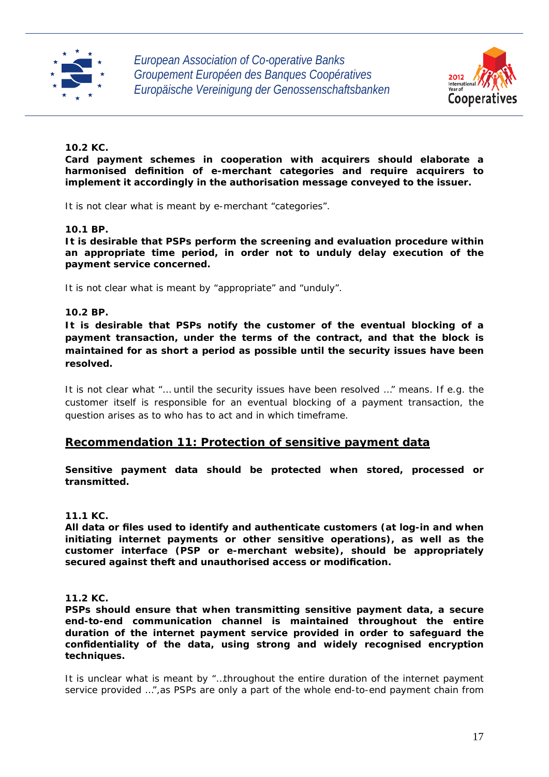



## **10.2 KC.**

**Card payment schemes in cooperation with acquirers should elaborate a harmonised definition of e-merchant categories and require acquirers to implement it accordingly in the authorisation message conveyed to the issuer.** 

It is not clear what is meant by e-merchant "categories".

## **10.1 BP.**

**It is desirable that PSPs perform the screening and evaluation procedure within an appropriate time period, in order not to unduly delay execution of the payment service concerned.** 

It is not clear what is meant by "appropriate" and "unduly".

## **10.2 BP.**

**It is desirable that PSPs notify the customer of the eventual blocking of a payment transaction, under the terms of the contract, and that the block is maintained for as short a period as possible until the security issues have been resolved.** 

It is not clear what "… until the security issues have been resolved …" means. If e.g. the customer itself is responsible for an eventual blocking of a payment transaction, the question arises as to who has to act and in which timeframe.

## **Recommendation 11: Protection of sensitive payment data**

**Sensitive payment data should be protected when stored, processed or transmitted.** 

#### **11.1 KC.**

**All data or files used to identify and authenticate customers (at log-in and when initiating internet payments or other sensitive operations), as well as the customer interface (PSP or e-merchant website), should be appropriately secured against theft and unauthorised access or modification.** 

## **11.2 KC.**

**PSPs should ensure that when transmitting sensitive payment data, a secure end-to-end communication channel is maintained throughout the entire duration of the internet payment service provided in order to safeguard the confidentiality of the data, using strong and widely recognised encryption techniques.** 

It is unclear what is meant by "…throughout the entire duration of the internet payment service provided ...", as PSPs are only a part of the whole end-to-end payment chain from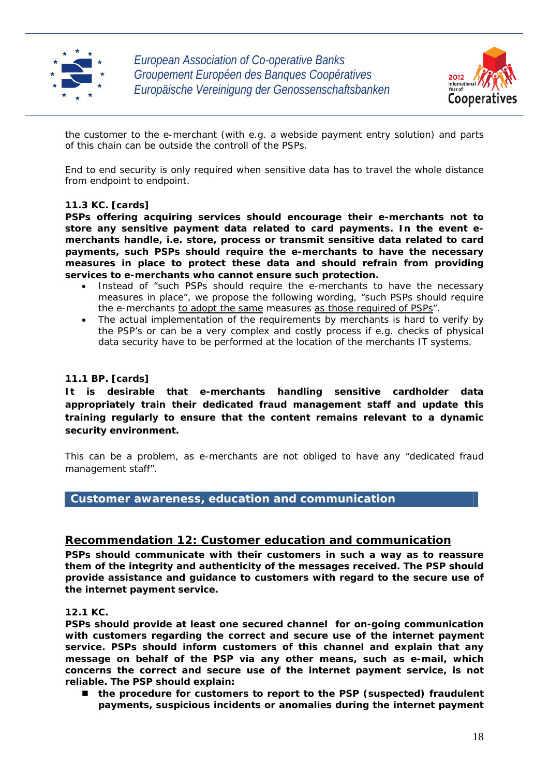



the customer to the e-merchant (with e.g. a webside payment entry solution) and parts of this chain can be outside the controll of the PSPs.

End to end security is only required when sensitive data has to travel the whole distance from endpoint to endpoint.

## **11.3 KC. [cards]**

**PSPs offering acquiring services should encourage their e-merchants not to store any sensitive payment data related to card payments. In the event emerchants handle, i.e. store, process or transmit sensitive data related to card payments, such PSPs should require the e-merchants to have the necessary measures in place to protect these data and should refrain from providing services to e-merchants who cannot ensure such protection.** 

- Instead of "such PSPs should require the e-merchants to have the necessary measures in place", we propose the following wording, "such PSPs should require the e-merchants *to adopt the same* measures *as those required of PSPs*".
- The actual implementation of the requirements by merchants is hard to verify by the PSP's or can be a very complex and costly process if e.g. checks of physical data security have to be performed at the location of the merchants IT systems.

## **11.1 BP. [cards]**

**It is desirable that e-merchants handling sensitive cardholder data appropriately train their dedicated fraud management staff and update this training regularly to ensure that the content remains relevant to a dynamic security environment.** 

This can be a problem, as e-merchants are not obliged to have any "dedicated fraud management staff".

## **Customer awareness, education and communication**

## **Recommendation 12: Customer education and communication**

**PSPs should communicate with their customers in such a way as to reassure them of the integrity and authenticity of the messages received. The PSP should provide assistance and guidance to customers with regard to the secure use of the internet payment service.** 

## **12.1 KC.**

**PSPs should provide at least one secured channel for on-going communication with customers regarding the correct and secure use of the internet payment service. PSPs should inform customers of this channel and explain that any message on behalf of the PSP via any other means, such as e-mail, which concerns the correct and secure use of the internet payment service, is not reliable. The PSP should explain:** 

■ the procedure for customers to report to the PSP (suspected) fraudulent **payments, suspicious incidents or anomalies during the internet payment**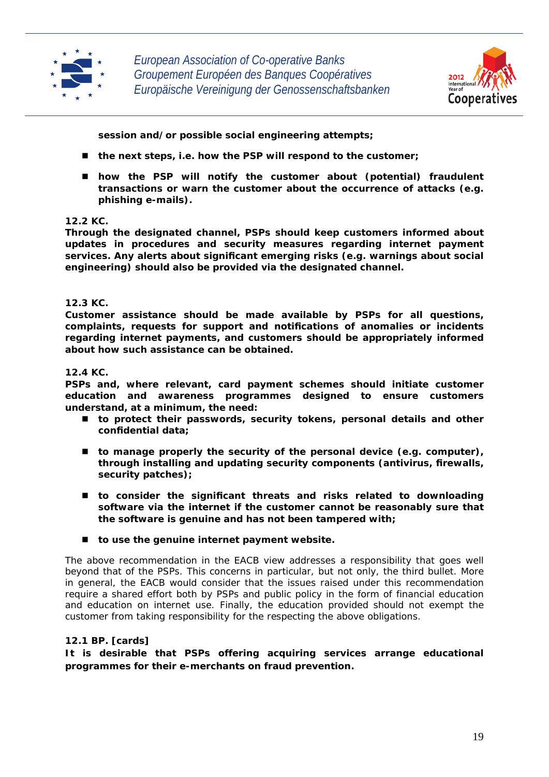



**session and/or possible social engineering attempts;** 

- the next steps, i.e. how the PSP will respond to the customer;
- how the PSP will notify the customer about (potential) fraudulent **transactions or warn the customer about the occurrence of attacks (e.g. phishing e-mails).**

## **12.2 KC.**

**Through the designated channel, PSPs should keep customers informed about updates in procedures and security measures regarding internet payment services. Any alerts about significant emerging risks (e.g. warnings about social engineering) should also be provided via the designated channel.** 

## **12.3 KC.**

**Customer assistance should be made available by PSPs for all questions, complaints, requests for support and notifications of anomalies or incidents regarding internet payments, and customers should be appropriately informed about how such assistance can be obtained.** 

## **12.4 KC.**

**PSPs and, where relevant, card payment schemes should initiate customer education and awareness programmes designed to ensure customers understand, at a minimum, the need:** 

- **to protect their passwords, security tokens, personal details and other confidential data;**
- to manage properly the security of the personal device (e.g. computer), **through installing and updating security components (antivirus, firewalls, security patches);**
- **to consider the significant threats and risks related to downloading software via the internet if the customer cannot be reasonably sure that the software is genuine and has not been tampered with;**
- to use the genuine internet payment website.

The above recommendation in the EACB view addresses a responsibility that goes well beyond that of the PSPs. This concerns in particular, but not only, the third bullet. More in general, the EACB would consider that the issues raised under this recommendation require a shared effort both by PSPs and public policy in the form of financial education and education on internet use. Finally, the education provided should not exempt the customer from taking responsibility for the respecting the above obligations.

## **12.1 BP. [cards]**

**It is desirable that PSPs offering acquiring services arrange educational programmes for their e-merchants on fraud prevention.**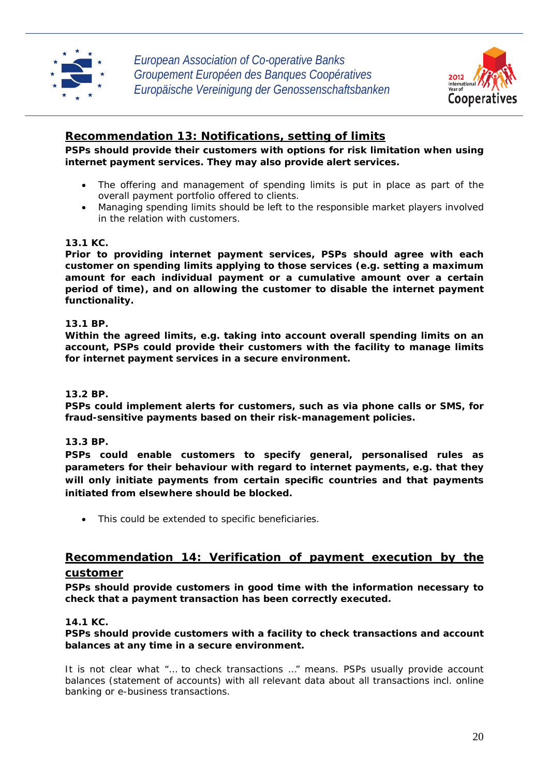



## **Recommendation 13: Notifications, setting of limits**

**PSPs should provide their customers with options for risk limitation when using internet payment services. They may also provide alert services.** 

- The offering and management of spending limits is put in place as part of the overall payment portfolio offered to clients.
- Managing spending limits should be left to the responsible market players involved in the relation with customers.

## **13.1 KC.**

**Prior to providing internet payment services, PSPs should agree with each customer on spending limits applying to those services (e.g. setting a maximum amount for each individual payment or a cumulative amount over a certain period of time), and on allowing the customer to disable the internet payment functionality.** 

## **13.1 BP.**

**Within the agreed limits, e.g. taking into account overall spending limits on an account, PSPs could provide their customers with the facility to manage limits for internet payment services in a secure environment.** 

## **13.2 BP.**

**PSPs could implement alerts for customers, such as via phone calls or SMS, for fraud-sensitive payments based on their risk-management policies.** 

## **13.3 BP.**

**PSPs could enable customers to specify general, personalised rules as parameters for their behaviour with regard to internet payments, e.g. that they will only initiate payments from certain specific countries and that payments initiated from elsewhere should be blocked.** 

This could be extended to specific beneficiaries.

# **Recommendation 14: Verification of payment execution by the**

## **customer**

**PSPs should provide customers in good time with the information necessary to check that a payment transaction has been correctly executed.** 

## **14.1 KC.**

## **PSPs should provide customers with a facility to check transactions and account balances at any time in a secure environment.**

It is not clear what "… to check transactions …" means. PSPs usually provide account balances (statement of accounts) with all relevant data about all transactions incl. online banking or e-business transactions.